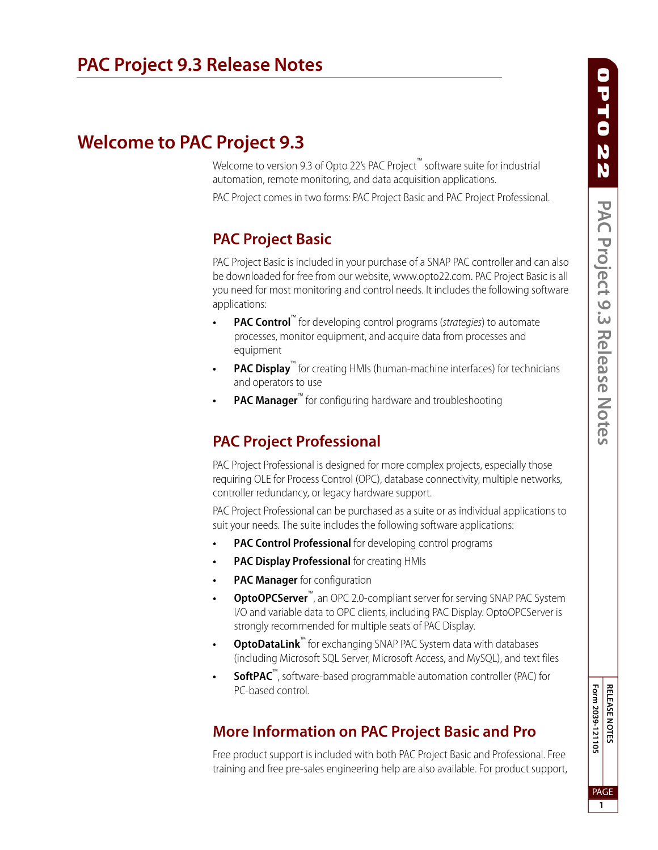# **Welcome to PAC Project 9.3**

Welcome to version 9.3 of Opto 22's PAC Project™ software suite for industrial automation, remote monitoring, and data acquisition applications.

PAC Project comes in two forms: PAC Project Basic and PAC Project Professional.

## **PAC Project Basic**

PAC Project Basic is included in your purchase of a SNAP PAC controller and can also be downloaded for free from our website, www.opto22.com. PAC Project Basic is all you need for most monitoring and control needs. It includes the following software applications:

- **PAC Control**<sup>™</sup> for developing control programs (*strategies*) to automate processes, monitor equipment, and acquire data from processes and equipment
- **PAC Display**<sup>™</sup> for creating HMIs (human-machine interfaces) for technicians and operators to use
- **PAC Manager**™ for configuring hardware and troubleshooting

## **PAC Project Professional**

PAC Project Professional is designed for more complex projects, especially those requiring OLE for Process Control (OPC), database connectivity, multiple networks, controller redundancy, or legacy hardware support.

PAC Project Professional can be purchased as a suite or as individual applications to suit your needs. The suite includes the following software applications:

- **PAC Control Professional** for developing control programs
- **PAC Display Professional** for creating HMIs
- **PAC Manager** for configuration
- **OptoOPCServer™**, an OPC 2.0-compliant server for serving SNAP PAC System I/O and variable data to OPC clients, including PAC Display. OptoOPCServer is strongly recommended for multiple seats of PAC Display.
- **OptoDataLink™** for exchanging SNAP PAC System data with databases (including Microsoft SQL Server, Microsoft Access, and MySQL), and text files
- **SoftPAC**™, software-based programmable automation controller (PAC) for PC-based control.

## **More Information on PAC Project Basic and Pro**

Free product support is included with both PAC Project Basic and Professional. Free training and free pre-sales engineering help are also available. For product support, Form 2039-121105 **RELEASE NOTES Form 2039-121105** PAGE **1**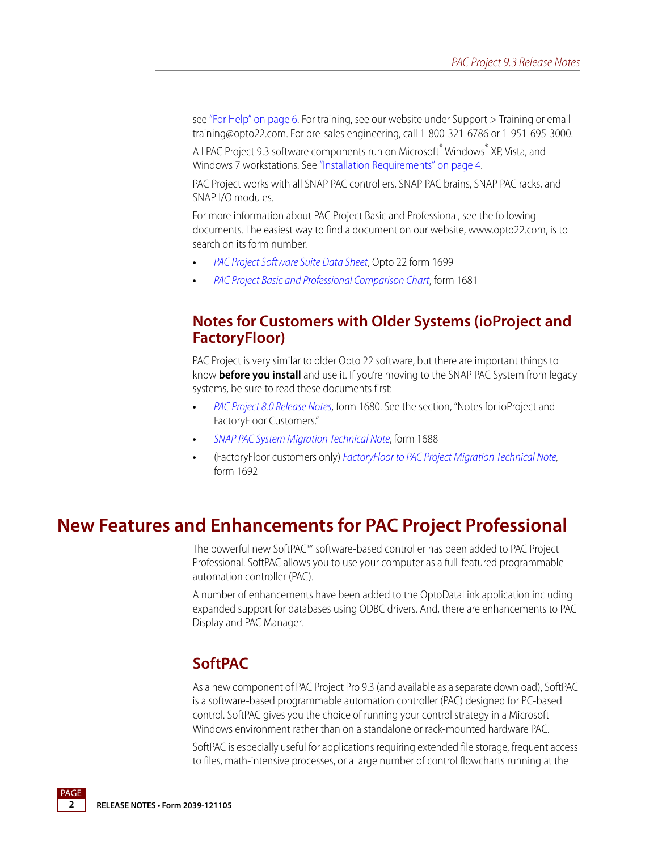see ["For Help" on page 6.](#page-5-0) For training, see our website under Support > Training or email training@opto22.com. For pre-sales engineering, call 1-800-321-6786 or 1-951-695-3000.

All PAC Project 9.3 software components run on Microsoft® Windows® XP, Vista, and Windows 7 workstations. See ["Installation Requirements" on page 4](#page-3-0).

PAC Project works with all SNAP PAC controllers, SNAP PAC brains, SNAP PAC racks, and SNAP I/O modules.

For more information about PAC Project Basic and Professional, see the following documents. The easiest way to find a document on our website, www.opto22.com, is to search on its form number.

- **•** [PAC Project Software Suite Data Sheet](http://www.opto22.com/documents/1699_PAC_Project_Data_Sheet.pdf), Opto 22 form 1699
- **•** [PAC Project Basic and Professional Comparison Chart](http://www.opto22.com/documents/1681_PAC_Project_Basic_Pro_Comparison_Chart.pdf), form 1681

### **Notes for Customers with Older Systems (ioProject and FactoryFloor)**

PAC Project is very similar to older Opto 22 software, but there are important things to know **before you install** and use it. If you're moving to the SNAP PAC System from legacy systems, be sure to read these documents first:

- **•** [PAC Project 8.0 Release Notes](http://www.opto22.com/documents/1680_PAC_Project_80_Release_Notes.pdf), form 1680. See the section, "Notes for ioProject and FactoryFloor Customers."
- **•** [SNAP PAC System Migration Technical Note](http://www.opto22.com/documents/1688_SNAP_PAC_System_Migration_Tech_Note.pdf), form 1688
- **•** (FactoryFloor customers only) [FactoryFloor to PAC Project Migration Technical Note,](http://www.opto22.com/documents/1688_SNAP_PAC_System_Migration_Tech_Note.pdf) form 1692

## **New Features and Enhancements for PAC Project Professional**

The powerful new SoftPAC™ software-based controller has been added to PAC Project Professional. SoftPAC allows you to use your computer as a full-featured programmable automation controller (PAC).

A number of enhancements have been added to the OptoDataLink application including expanded support for databases using ODBC drivers. And, there are enhancements to PAC Display and PAC Manager.

### **SoftPAC**

As a new component of PAC Project Pro 9.3 (and available as a separate download), SoftPAC is a software-based programmable automation controller (PAC) designed for PC-based control. SoftPAC gives you the choice of running your control strategy in a Microsoft Windows environment rather than on a standalone or rack-mounted hardware PAC.

SoftPAC is especially useful for applications requiring extended file storage, frequent access to files, math-intensive processes, or a large number of control flowcharts running at the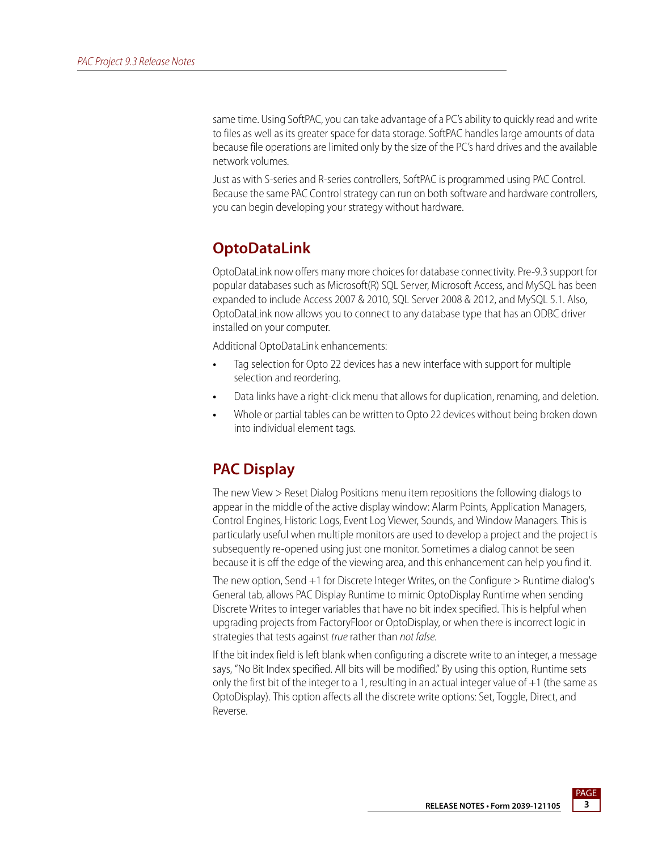same time. Using SoftPAC, you can take advantage of a PC's ability to quickly read and write to files as well as its greater space for data storage. SoftPAC handles large amounts of data because file operations are limited only by the size of the PC's hard drives and the available network volumes.

Just as with S-series and R-series controllers, SoftPAC is programmed using PAC Control. Because the same PAC Control strategy can run on both software and hardware controllers, you can begin developing your strategy without hardware.

## **OptoDataLink**

OptoDataLink now offers many more choices for database connectivity. Pre-9.3 support for popular databases such as Microsoft(R) SQL Server, Microsoft Access, and MySQL has been expanded to include Access 2007 & 2010, SQL Server 2008 & 2012, and MySQL 5.1. Also, OptoDataLink now allows you to connect to any database type that has an ODBC driver installed on your computer.

Additional OptoDataLink enhancements:

- **•** Tag selection for Opto 22 devices has a new interface with support for multiple selection and reordering.
- **•** Data links have a right-click menu that allows for duplication, renaming, and deletion.
- **•** Whole or partial tables can be written to Opto 22 devices without being broken down into individual element tags.

## **PAC Display**

The new View > Reset Dialog Positions menu item repositions the following dialogs to appear in the middle of the active display window: Alarm Points, Application Managers, Control Engines, Historic Logs, Event Log Viewer, Sounds, and Window Managers. This is particularly useful when multiple monitors are used to develop a project and the project is subsequently re-opened using just one monitor. Sometimes a dialog cannot be seen because it is off the edge of the viewing area, and this enhancement can help you find it.

The new option, Send +1 for Discrete Integer Writes, on the Configure > Runtime dialog's General tab, allows PAC Display Runtime to mimic OptoDisplay Runtime when sending Discrete Writes to integer variables that have no bit index specified. This is helpful when upgrading projects from FactoryFloor or OptoDisplay, or when there is incorrect logic in strategies that tests against true rather than not false.

If the bit index field is left blank when configuring a discrete write to an integer, a message says, "No Bit Index specified. All bits will be modified." By using this option, Runtime sets only the first bit of the integer to a 1, resulting in an actual integer value of  $+1$  (the same as OptoDisplay). This option affects all the discrete write options: Set, Toggle, Direct, and Reverse.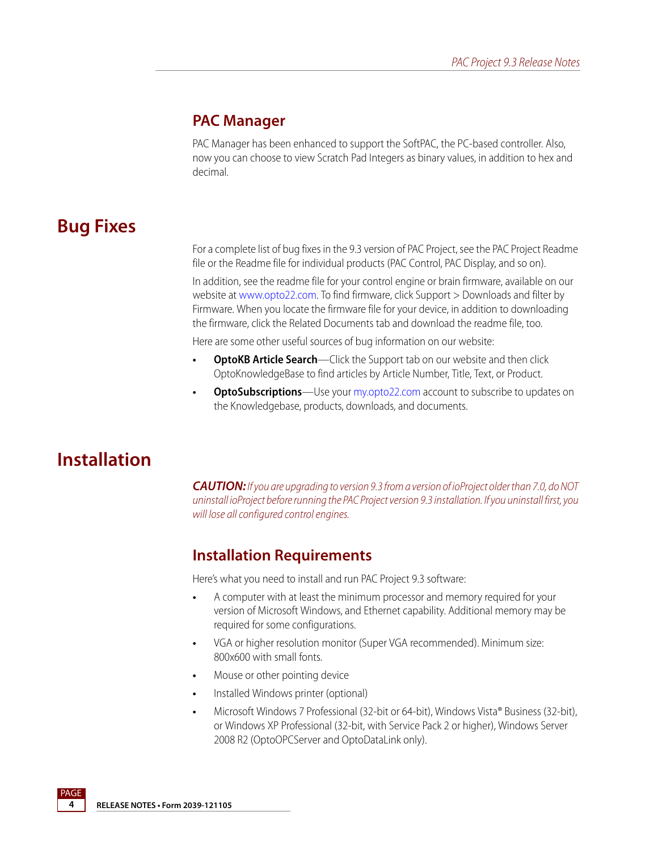### **PAC Manager**

PAC Manager has been enhanced to support the SoftPAC, the PC-based controller. Also, now you can choose to view Scratch Pad Integers as binary values, in addition to hex and decimal.

# **Bug Fixes**

For a complete list of bug fixes in the 9.3 version of PAC Project, see the PAC Project Readme file or the Readme file for individual products (PAC Control, PAC Display, and so on).

In addition, see the readme file for your control engine or brain firmware, available on our website at [www.opto22.com.](http://www.opto22.com/) To find firmware, click Support > Downloads and filter by Firmware. When you locate the firmware file for your device, in addition to downloading the firmware, click the Related Documents tab and download the readme file, too.

Here are some other useful sources of bug information on our website:

- **OptoKB Article Search**—Click the Support tab on our website and then click OptoKnowledgeBase to find articles by Article Number, Title, Text, or Product.
- **OptoSubscriptions**—Use your [my.opto22.com](http://www.opto22.com/site/myopto/my_index.aspx) account to subscribe to updates on the Knowledgebase, products, downloads, and documents.

# **Installation**

*CAUTION:* If you are upgrading to version 9.3 from a version of ioProject older than 7.0, do NOT uninstall ioProject before running the PAC Project version 9.3 installation. If you uninstall first, you will lose all configured control engines.

### <span id="page-3-0"></span>**Installation Requirements**

Here's what you need to install and run PAC Project 9.3 software:

- **•** A computer with at least the minimum processor and memory required for your version of Microsoft Windows, and Ethernet capability. Additional memory may be required for some configurations.
- **•** VGA or higher resolution monitor (Super VGA recommended). Minimum size: 800x600 with small fonts.
- **•** Mouse or other pointing device
- **•** Installed Windows printer (optional)
- **•** Microsoft Windows 7 Professional (32-bit or 64-bit), Windows Vista® Business (32-bit), or Windows XP Professional (32-bit, with Service Pack 2 or higher), Windows Server 2008 R2 (OptoOPCServer and OptoDataLink only).

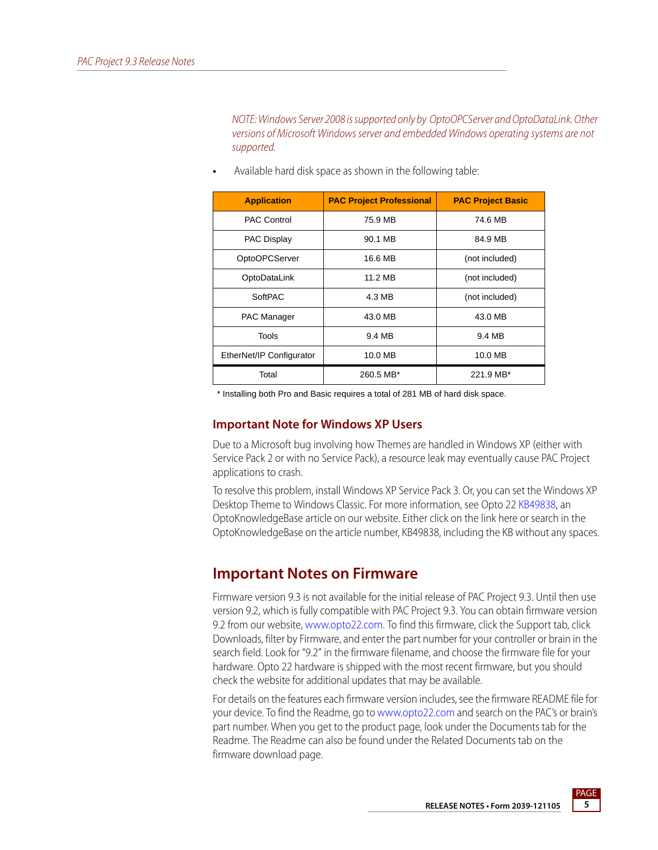NOTE: Windows Server 2008 is supported only by OptoOPCServer and OptoDataLink. Other versions of Microsoft Windows server and embedded Windows operating systems are not supported.

| <b>Application</b>       | <b>PAC Project Professional</b> | <b>PAC Project Basic</b> |
|--------------------------|---------------------------------|--------------------------|
| <b>PAC Control</b>       | 75.9 MB                         | 74.6 MB                  |
| <b>PAC Display</b>       | 90.1 MB                         | 84.9 MB                  |
| OptoOPCServer            | 16.6 MB                         | (not included)           |
| OptoDataLink             | 11.2 MB                         | (not included)           |
| SoftPAC                  | 4.3 MB                          | (not included)           |
| <b>PAC Manager</b>       | 43.0 MB                         | 43.0 MB                  |
| Tools                    | 9.4 MB                          | 9.4 MB                   |
| EtherNet/IP Configurator | 10.0 MB                         | 10.0 MB                  |
| Total                    | 260.5 MB*                       | 221.9 MB*                |

**•** Available hard disk space as shown in the following table:

\* Installing both Pro and Basic requires a total of 281 MB of hard disk space.

#### **Important Note for Windows XP Users**

Due to a Microsoft bug involving how Themes are handled in Windows XP (either with Service Pack 2 or with no Service Pack), a resource leak may eventually cause PAC Project applications to crash.

To resolve this problem, install Windows XP Service Pack 3. Or, you can set the Windows XP Desktop Theme to Windows Classic. For more information, see Opto 2[2 KB49838](http://www.opto22.com/site/documents/viewarticle.aspx?aid=1107), an OptoKnowledgeBase article on our website. Either click on the link here or search in the OptoKnowledgeBase on the article number, KB49838, including the KB without any spaces.

### **Important Notes on Firmware**

Firmware version 9.3 is not available for the initial release of PAC Project 9.3. Until then use version 9.2, which is fully compatible with PAC Project 9.3. You can obtain firmware version 9.2 from our website, [www.opto22.com](http://www.opto22.com). To find this firmware, click the Support tab, click Downloads, filter by Firmware, and enter the part number for your controller or brain in the search field. Look for "9.2" in the firmware filename, and choose the firmware file for your hardware. Opto 22 hardware is shipped with the most recent firmware, but you should check the website for additional updates that may be available.

For details on the features each firmware version includes, see the firmware README file for your device. To find the Readme, go to [www.opto22.com](http://www.opto22.com) and search on the PAC's or brain's part number. When you get to the product page, look under the Documents tab for the Readme. The Readme can also be found under the Related Documents tab on the firmware download page.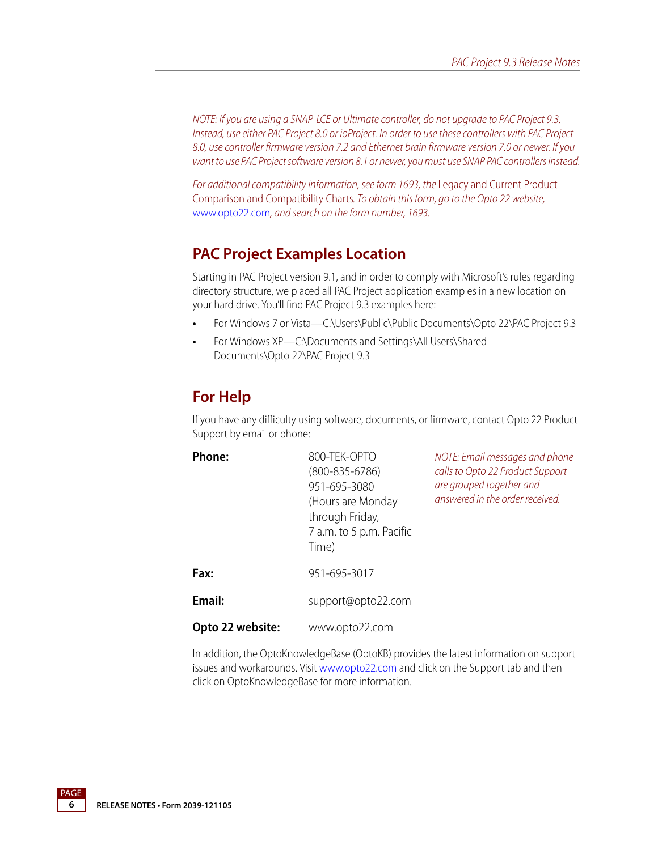NOTE: If you are using a SNAP-LCE or Ultimate controller, do not upgrade to PAC Project 9.3. Instead, use either PAC Project 8.0 or ioProject. In order to use these controllers with PAC Project 8.0, use controller firmware version 7.2 and Ethernet brain firmware version 7.0 or newer. If you want to use PAC Project software version 8.1 or newer, you must use SNAP PAC controllers instead.

For additional compatibility information, see form 1693, the Legacy and Current Product Comparison and Compatibility Charts. To obtain this form, go to the Opto 22 website, [www.opto22.com](http://www.opto22.com), and search on the form number, 1693.

### **PAC Project Examples Location**

Starting in PAC Project version 9.1, and in order to comply with Microsoft's rules regarding directory structure, we placed all PAC Project application examples in a new location on your hard drive. You'll find PAC Project 9.3 examples here:

- **•** For Windows 7 or Vista—C:\Users\Public\Public Documents\Opto 22\PAC Project 9.3
- **•** For Windows XP—C:\Documents and Settings\All Users\Shared Documents\Opto 22\PAC Project 9.3

### <span id="page-5-0"></span>**For Help**

If you have any difficulty using software, documents, or firmware, contact Opto 22 Product Support by email or phone:

| <b>Phone:</b>    | 800-TEK-OPTO<br>$(800 - 835 - 6786)$<br>951-695-3080<br>(Hours are Monday<br>through Friday,<br>7 a.m. to 5 p.m. Pacific<br>Time) | NOTE: Email messages and phone<br>calls to Opto 22 Product Support<br>are grouped together and<br>answered in the order received. |
|------------------|-----------------------------------------------------------------------------------------------------------------------------------|-----------------------------------------------------------------------------------------------------------------------------------|
| Fax:             | 951-695-3017                                                                                                                      |                                                                                                                                   |
| Email:           | support@opto22.com                                                                                                                |                                                                                                                                   |
| Opto 22 website: | www.opto22.com                                                                                                                    |                                                                                                                                   |

In addition, the OptoKnowledgeBase (OptoKB) provides the latest information on support issues and workarounds. Visit [www.opto22.com](http://www.opto22.com) and click on the Support tab and then click on OptoKnowledgeBase for more information.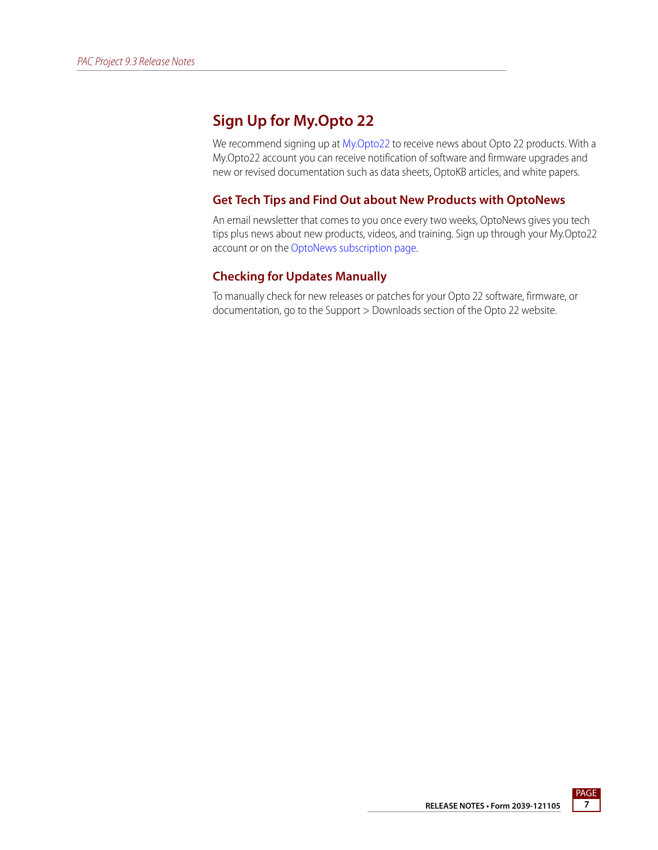## **Sign Up for My.Opto 22**

We recommend signing up at [My.Opto22](http://www.opto22.com/site/myopto/my_login.aspx) to receive news about Opto 22 products. With a My.Opto22 account you can receive notification of software and firmware upgrades and new or revised documentation such as data sheets, OptoKB articles, and white papers.

#### **Get Tech Tips and Find Out about New Products with OptoNews**

An email newsletter that comes to you once every two weeks, OptoNews gives you tech tips plus news about new products, videos, and training. Sign up through your My.Opto22 account or on the [OptoNews subscription page](http://www.opto22.com/site/register/optonews_subscribe.aspx).

#### **Checking for Updates Manually**

To manually check for new releases or patches for your Opto 22 software, firmware, or documentation, go to the Support > Downloads section of the Opto 22 website.